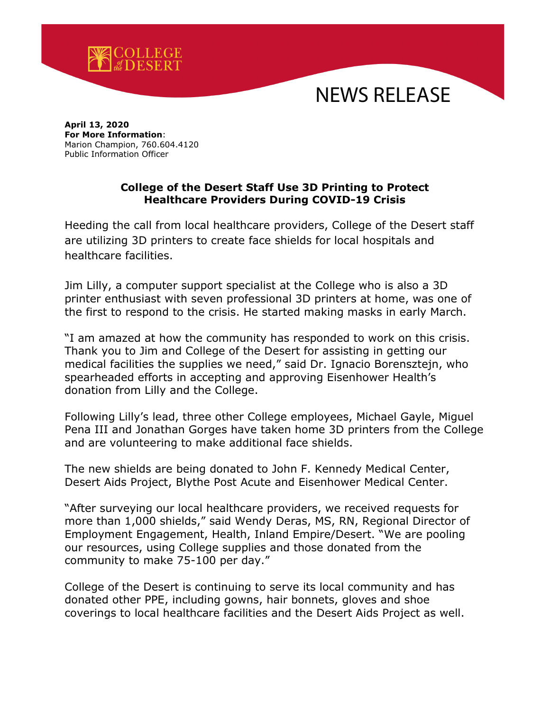

## NEWS RELEASE

**April 13, 2020 For More Information**: Marion Champion, 760.604.4120 Public Information Officer

## **College of the Desert Staff Use 3D Printing to Protect Healthcare Providers During COVID-19 Crisis**

Heeding the call from local healthcare providers, College of the Desert staff are utilizing 3D printers to create face shields for local hospitals and healthcare facilities.

Jim Lilly, a computer support specialist at the College who is also a 3D printer enthusiast with seven professional 3D printers at home, was one of the first to respond to the crisis. He started making masks in early March.

"I am amazed at how the community has responded to work on this crisis. Thank you to Jim and College of the Desert for assisting in getting our medical facilities the supplies we need," said Dr. Ignacio Borensztejn, who spearheaded efforts in accepting and approving Eisenhower Health's donation from Lilly and the College.

Following Lilly's lead, three other College employees, Michael Gayle, Miguel Pena III and Jonathan Gorges have taken home 3D printers from the College and are volunteering to make additional face shields.

The new shields are being donated to John F. Kennedy Medical Center, Desert Aids Project, Blythe Post Acute and Eisenhower Medical Center.

"After surveying our local healthcare providers, we received requests for more than 1,000 shields," said Wendy Deras, MS, RN, Regional Director of Employment Engagement, Health, Inland Empire/Desert. "We are pooling our resources, using College supplies and those donated from the community to make 75-100 per day."

College of the Desert is continuing to serve its local community and has donated other PPE, including gowns, hair bonnets, gloves and shoe coverings to local healthcare facilities and the Desert Aids Project as well.